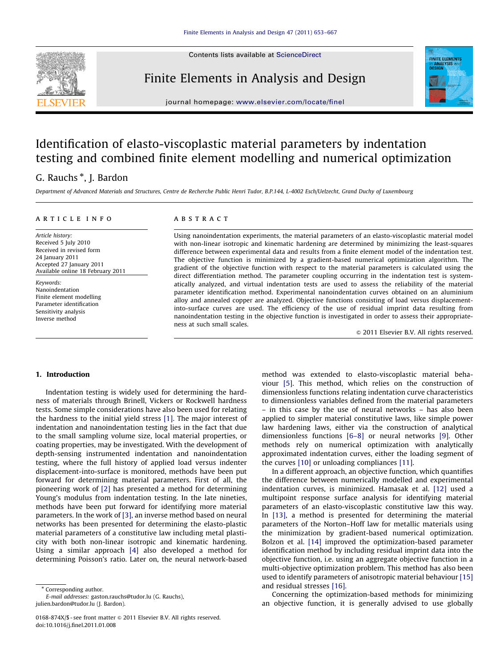

Contents lists available at ScienceDirect

Finite Elements in Analysis and Design



journal homepage: <www.elsevier.com/locate/finel>

# Identification of elasto-viscoplastic material parameters by indentation testing and combined finite element modelling and numerical optimization

## G. Rauchs  $^*$ , J. Bardon

Department of Advanced Materials and Structures, Centre de Recherche Public Henri Tudor, B.P.144, L-4002 Esch/Uelzecht, Grand Duchy of Luxembourg

## article info

Article history: Received 5 July 2010 Received in revised form 24 January 2011 Accepted 27 January 2011 Available online 18 February 2011

Keywords: Nanoindentation Finite element modelling Parameter identification Sensitivity analysis Inverse method

## ABSTRACT

Using nanoindentation experiments, the material parameters of an elasto-viscoplastic material model with non-linear isotropic and kinematic hardening are determined by minimizing the least-squares difference between experimental data and results from a finite element model of the indentation test. The objective function is minimized by a gradient-based numerical optimization algorithm. The gradient of the objective function with respect to the material parameters is calculated using the direct differentiation method. The parameter coupling occurring in the indentation test is systematically analyzed, and virtual indentation tests are used to assess the reliability of the material parameter identification method. Experimental nanoindentation curves obtained on an aluminium alloy and annealed copper are analyzed. Objective functions consisting of load versus displacementinto-surface curves are used. The efficiency of the use of residual imprint data resulting from nanoindentation testing in the objective function is investigated in order to assess their appropriateness at such small scales.

 $@$  2011 Elsevier B.V. All rights reserved.

## 1. Introduction

Indentation testing is widely used for determining the hardness of materials through Brinell, Vickers or Rockwell hardness tests. Some simple considerations have also been used for relating the hardness to the initial yield stress [\[1\].](#page--1-0) The major interest of indentation and nanoindentation testing lies in the fact that due to the small sampling volume size, local material properties, or coating properties, may be investigated. With the development of depth-sensing instrumented indentation and nanoindentation testing, where the full history of applied load versus indenter displacement-into-surface is monitored, methods have been put forward for determining material parameters. First of all, the pioneering work of [\[2\]](#page--1-0) has presented a method for determining Young's modulus from indentation testing. In the late nineties, methods have been put forward for identifying more material parameters. In the work of [\[3\]](#page--1-0), an inverse method based on neural networks has been presented for determining the elasto-plastic material parameters of a constitutive law including metal plasticity with both non-linear isotropic and kinematic hardening. Using a similar approach [\[4\]](#page--1-0) also developed a method for determining Poisson's ratio. Later on, the neural network-based

-Corresponding author.

E-mail addresses: [gaston.rauchs@tudor.lu \(G. Rauchs\)](mailto:gaston.rauchs@tudor.lu), [julien.bardon@tudor.lu \(J. Bardon\).](mailto:julien.bardon@tudor.lu)

method was extended to elasto-viscoplastic material behaviour [\[5\].](#page--1-0) This method, which relies on the construction of dimensionless functions relating indentation curve characteristics to dimensionless variables defined from the material parameters – in this case by the use of neural networks – has also been applied to simpler material constitutive laws, like simple power law hardening laws, either via the construction of analytical dimensionless functions [\[6–8\]](#page--1-0) or neural networks [\[9\]](#page--1-0). Other methods rely on numerical optimization with analytically approximated indentation curves, either the loading segment of the curves [\[10\]](#page--1-0) or unloading compliances [\[11\].](#page--1-0)

In a different approach, an objective function, which quantifies the difference between numerically modelled and experimental indentation curves, is minimized. Hamasak et al. [\[12\]](#page--1-0) used a multipoint response surface analysis for identifying material parameters of an elasto-viscoplastic constitutive law this way. In [\[13\],](#page--1-0) a method is presented for determining the material parameters of the Norton–Hoff law for metallic materials using the minimization by gradient-based numerical optimization. Bolzon et al. [\[14\]](#page--1-0) improved the optimization-based parameter identification method by including residual imprint data into the objective function, i.e. using an aggregate objective function in a multi-objective optimization problem. This method has also been used to identify parameters of anisotropic material behaviour [\[15\]](#page--1-0) and residual stresses [\[16\]](#page--1-0).

Concerning the optimization-based methods for minimizing an objective function, it is generally advised to use globally

<sup>0168-874</sup>X/\$ - see front matter  $\odot$  2011 Elsevier B.V. All rights reserved. doi:[10.1016/j.finel.2011.01.008](dx.doi.org/10.1016/j.finel.2011.01.008)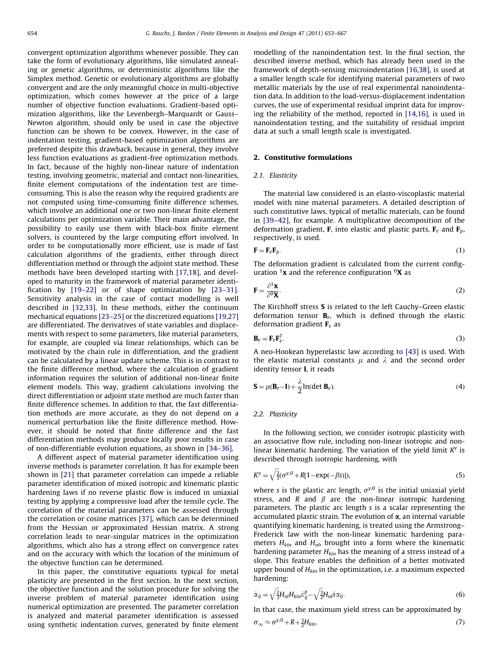convergent optimization algorithms whenever possible. They can take the form of evolutionary algorithms, like simulated annealing or genetic algorithms, or deterministic algorithms like the Simplex method. Genetic or evolutionary algorithms are globally convergent and are the only meaningful choice in multi-objective optimization, which comes however at the price of a large number of objective function evaluations. Gradient-based optimization algorithms, like the Levenbergh–Marquardt or Gauss– Newton algorithm, should only be used in case the objective function can be shown to be convex. However, in the case of indentation testing, gradient-based optimization algorithms are preferred despite this drawback, because in general, they involve less function evaluations as gradient-free optimization methods. In fact, because of the highly non-linear nature of indentation testing, involving geometric, material and contact non-linearities, finite element computations of the indentation test are timeconsuming. This is also the reason why the required gradients are not computed using time-consuming finite difference schemes, which involve an additional one or two non-linear finite element calculations per optimization variable. Their main advantage, the possibility to easily use them with black-box finite element solvers, is countered by the large computing effort involved. In order to be computationally more efficient, use is made of fast calculation algorithms of the gradients, either through direct differentiation method or through the adjoint state method. These methods have been developed starting with [\[17,18\],](#page--1-0) and developed to maturity in the framework of material parameter identification by [\[19–22\]](#page--1-0) or of shape optimization by [\[23–31\].](#page--1-0) Sensitivity analysis in the case of contact modelling is well described in [\[32,33\].](#page--1-0) In these methods, either the continuum mechanical equations [\[23–25\]](#page--1-0) or the discretized equations [\[19,27\]](#page--1-0) are differentiated. The derivatives of state variables and displacements with respect to some parameters, like material parameters, for example, are coupled via linear relationships, which can be motivated by the chain rule in differentiation, and the gradient can be calculated by a linear update scheme. This is in contrast to the finite difference method, where the calculation of gradient information requires the solution of additional non-linear finite element models. This way, gradient calculations involving the direct differentiation or adjoint state method are much faster than finite difference schemes. In addition to that, the fast differentiation methods are more accurate, as they do not depend on a numerical perturbation like the finite difference method. However, it should be noted that finite difference and the fast differentiation methods may produce locally poor results in case of non-differentiable evolution equations, as shown in [\[34–36\].](#page--1-0)

A different aspect of material parameter identification using inverse methods is parameter correlation. It has for example been shown in [\[21\]](#page--1-0) that parameter correlation can impede a reliable parameter identification of mixed isotropic and kinematic plastic hardening laws if no reverse plastic flow is induced in uniaxial testing by applying a compressive load after the tensile cycle. The correlation of the material parameters can be assessed through the correlation or cosine matrices [\[37\],](#page--1-0) which can be determined from the Hessian or approximated Hessian matrix. A strong correlation leads to near-singular matrices in the optimization algorithms, which also has a strong effect on convergence rates and on the accuracy with which the location of the minimum of the objective function can be determined.

In this paper, the constitutive equations typical for metal plasticity are presented in the first section. In the next section, the objective function and the solution procedure for solving the inverse problem of material parameter identification using numerical optimization are presented. The parameter correlation is analyzed and material parameter identification is assessed using synthetic indentation curves, generated by finite element modelling of the nanoindentation test. In the final section, the described inverse method, which has already been used in the framework of depth-sensing microindentation [\[16,38\],](#page--1-0) is used at a smaller length scale for identifying material parameters of two metallic materials by the use of real experimental nanoindentation data. In addition to the load-versus-displacement indentation curves, the use of experimental residual imprint data for improving the reliability of the method, reported in [\[14,16\]](#page--1-0), is used in nanoindentation testing, and the suitability of residual imprint data at such a small length scale is investigated.

## 2. Constitutive formulations

## 2.1. Elasticity

The material law considered is an elasto-viscoplastic material model with nine material parameters. A detailed description of such constitutive laws, typical of metallic materials, can be found in [\[39–42\]](#page--1-0), for example. A multiplicative decomposition of the deformation gradient, **F**, into elastic and plastic parts,  $\mathbf{F}_e$  and  $\mathbf{F}_p$ , respectively, is used.

$$
\mathbf{F} = \mathbf{F}_e \mathbf{F}_p. \tag{1}
$$

The deformation gradient is calculated from the current configuration  $1x$  and the reference configuration  $0x$  as

$$
\mathbf{F} = \frac{\partial^1 \mathbf{x}}{\partial^0 \mathbf{X}}.
$$
 (2)

The Kirchhoff stress S is related to the left Cauchy-Green elastic deformation tensor  $B_e$ , which is defined through the elastic deformation gradient  $F_e$  as

$$
\mathbf{B}_e = \mathbf{F}_e \mathbf{F}_e^T. \tag{3}
$$

A neo-Hookean hyperelastic law according to [\[43\]](#page--1-0) is used. With the elastic material constants  $\mu$  and  $\lambda$  and the second order identity tensor I, it reads

$$
\mathbf{S} = \mu(\mathbf{B}_e - \mathbf{I}) + \frac{\lambda}{2} \ln(\det \mathbf{B}_e). \tag{4}
$$

#### 2.2. Plasticity

In the following section, we consider isotropic plasticity with an associative flow rule, including non-linear isotropic and nonlinear kinematic hardening. The variation of the yield limit  $K^y$  is described through isotropic hardening, with

$$
K^y = \sqrt{\frac{2}{3}}(\sigma^{y,0} + R[1 - \exp(-\beta s)]),
$$
\n(5)

where s is the plastic arc length,  $\sigma^{y,0}$  is the initial uniaxial yield stress, and R and  $\beta$  are the non-linear isotropic hardening parameters. The plastic arc length s is a scalar representing the accumulated plastic strain. The evolution of  $\alpha$ , an internal variable quantifying kinematic hardening, is treated using the Armstrong– Frederick law with the non-linear kinematic hardening parameters  $H_{kin}$  and  $H_{nl}$ , brought into a form where the kinematic hardening parameter  $H_{kin}$  has the meaning of a stress instead of a slope. This feature enables the definition of a better motivated upper bound of  $H_{kin}$  in the optimization, i.e. a maximum expected hardening:

$$
\dot{\alpha}_{ij} = \sqrt{\frac{2}{3}} H_{nl} H_{kin} \dot{\varepsilon}_{ij}^p - \sqrt{\frac{3}{2}} H_{nl} \dot{s} \alpha_{ij}.
$$
\n(6)

In that case, the maximum yield stress can be approximated by  $v_0$   $v_1$   $v_2$ 

$$
\sigma_{\infty} \approx \sigma^{y,0} + R + \frac{3}{2}H_{\text{kin}}.\tag{7}
$$